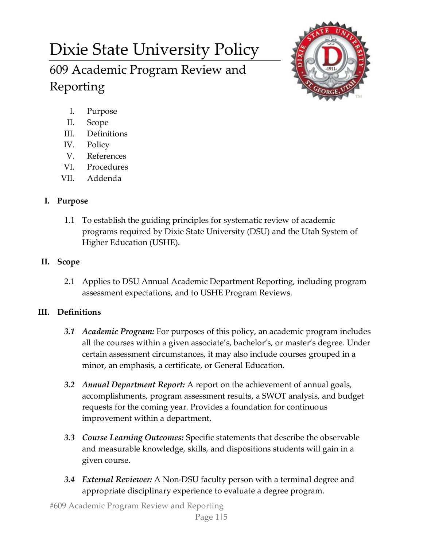# Dixie State University Policy 609 Academic Program Review and Reporting



- I. Purpose
- II. Scope
- III. Definitions
- IV. Policy
- V. References
- VI. Procedures
- VII. Addenda

# **I. Purpose**

1.1 To establish the guiding principles for systematic review of academic programs required by Dixie State University (DSU) and the Utah System of Higher Education (USHE).

# **II. Scope**

2.1 Applies to DSU Annual Academic Department Reporting, including program assessment expectations, and to USHE Program Reviews.

# **III. Definitions**

- *3.1 Academic Program:* For purposes of this policy, an academic program includes all the courses within a given associate's, bachelor's, or master's degree. Under certain assessment circumstances, it may also include courses grouped in a minor, an emphasis, a certificate, or General Education.
- *3.2 Annual Department Report:* A report on the achievement of annual goals, accomplishments, program assessment results, a SWOT analysis, and budget requests for the coming year. Provides a foundation for continuous improvement within a department.
- *3.3 Course Learning Outcomes:* Specific statements that describe the observable and measurable knowledge, skills, and dispositions students will gain in a given course.
- *3.4 External Reviewer:* A Non-DSU faculty person with a terminal degree and appropriate disciplinary experience to evaluate a degree program.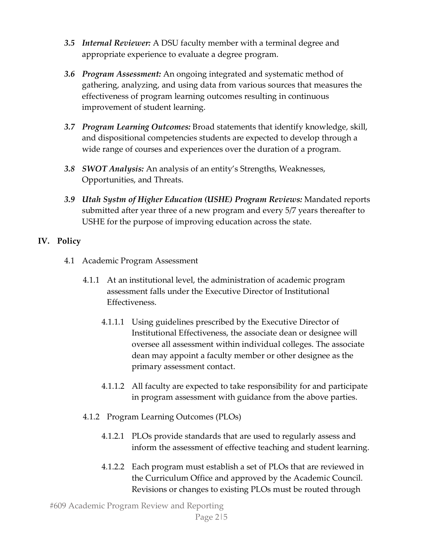- *3.5 Internal Reviewer:* A DSU faculty member with a terminal degree and appropriate experience to evaluate a degree program.
- *3.6 Program Assessment:* An ongoing integrated and systematic method of gathering, analyzing, and using data from various sources that measures the effectiveness of program learning outcomes resulting in continuous improvement of student learning.
- *3.7 Program Learning Outcomes:* Broad statements that identify knowledge, skill, and dispositional competencies students are expected to develop through a wide range of courses and experiences over the duration of a program.
- *3.8 SWOT Analysis:* An analysis of an entity's Strengths, Weaknesses, Opportunities, and Threats.
- *3.9 Utah Systm of Higher Education (USHE) Program Reviews:* Mandated reports submitted after year three of a new program and every 5/7 years thereafter to USHE for the purpose of improving education across the state.

### **IV. Policy**

- 4.1 Academic Program Assessment
	- 4.1.1 At an institutional level, the administration of academic program assessment falls under the Executive Director of Institutional Effectiveness.
		- 4.1.1.1 Using guidelines prescribed by the Executive Director of Institutional Effectiveness, the associate dean or designee will oversee all assessment within individual colleges. The associate dean may appoint a faculty member or other designee as the primary assessment contact.
		- 4.1.1.2 All faculty are expected to take responsibility for and participate in program assessment with guidance from the above parties.
	- 4.1.2 Program Learning Outcomes (PLOs)
		- 4.1.2.1 PLOs provide standards that are used to regularly assess and inform the assessment of effective teaching and student learning.
		- 4.1.2.2 Each program must establish a set of PLOs that are reviewed in the Curriculum Office and approved by the Academic Council. Revisions or changes to existing PLOs must be routed through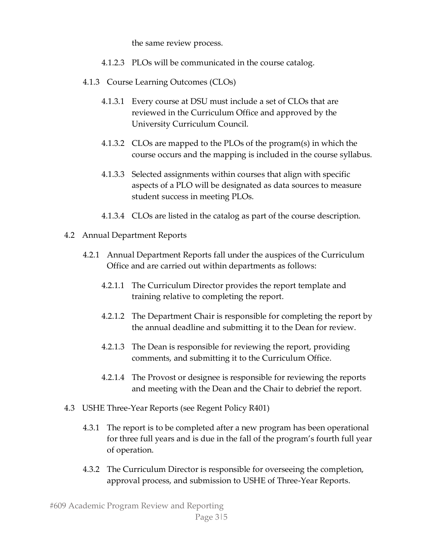the same review process.

- 4.1.2.3 PLOs will be communicated in the course catalog.
- 4.1.3 Course Learning Outcomes (CLOs)
	- 4.1.3.1 Every course at DSU must include a set of CLOs that are reviewed in the Curriculum Office and approved by the University Curriculum Council.
	- 4.1.3.2 CLOs are mapped to the PLOs of the program(s) in which the course occurs and the mapping is included in the course syllabus.
	- 4.1.3.3 Selected assignments within courses that align with specific aspects of a PLO will be designated as data sources to measure student success in meeting PLOs.
	- 4.1.3.4 CLOs are listed in the catalog as part of the course description.
- 4.2 Annual Department Reports
	- 4.2.1 Annual Department Reports fall under the auspices of the Curriculum Office and are carried out within departments as follows:
		- 4.2.1.1 The Curriculum Director provides the report template and training relative to completing the report.
		- 4.2.1.2 The Department Chair is responsible for completing the report by the annual deadline and submitting it to the Dean for review.
		- 4.2.1.3 The Dean is responsible for reviewing the report, providing comments, and submitting it to the Curriculum Office.
		- 4.2.1.4 The Provost or designee is responsible for reviewing the reports and meeting with the Dean and the Chair to debrief the report.
- 4.3 USHE Three-Year Reports (see Regent Policy R401)
	- 4.3.1 The report is to be completed after a new program has been operational for three full years and is due in the fall of the program's fourth full year of operation.
	- 4.3.2 The Curriculum Director is responsible for overseeing the completion, approval process, and submission to USHE of Three-Year Reports.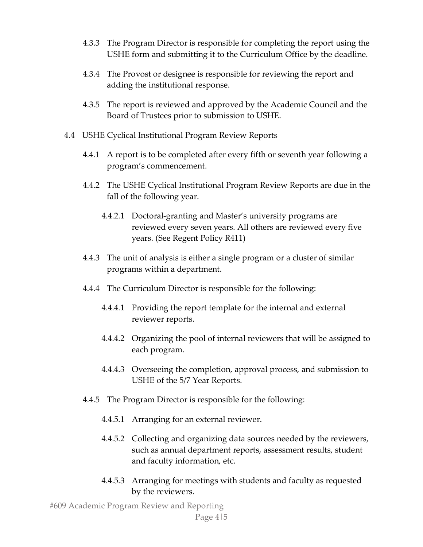- 4.3.3 The Program Director is responsible for completing the report using the USHE form and submitting it to the Curriculum Office by the deadline.
- 4.3.4 The Provost or designee is responsible for reviewing the report and adding the institutional response.
- 4.3.5 The report is reviewed and approved by the Academic Council and the Board of Trustees prior to submission to USHE.
- 4.4 USHE Cyclical Institutional Program Review Reports
	- 4.4.1 A report is to be completed after every fifth or seventh year following a program's commencement.
	- 4.4.2 The USHE Cyclical Institutional Program Review Reports are due in the fall of the following year.
		- 4.4.2.1 Doctoral-granting and Master's university programs are reviewed every seven years. All others are reviewed every five years. (See Regent Policy R411)
	- 4.4.3 The unit of analysis is either a single program or a cluster of similar programs within a department.
	- 4.4.4 The Curriculum Director is responsible for the following:
		- 4.4.4.1 Providing the report template for the internal and external reviewer reports.
		- 4.4.4.2 Organizing the pool of internal reviewers that will be assigned to each program.
		- 4.4.4.3 Overseeing the completion, approval process, and submission to USHE of the 5/7 Year Reports.
	- 4.4.5 The Program Director is responsible for the following:
		- 4.4.5.1 Arranging for an external reviewer.
		- 4.4.5.2 Collecting and organizing data sources needed by the reviewers, such as annual department reports, assessment results, student and faculty information, etc.
		- 4.4.5.3 Arranging for meetings with students and faculty as requested by the reviewers.